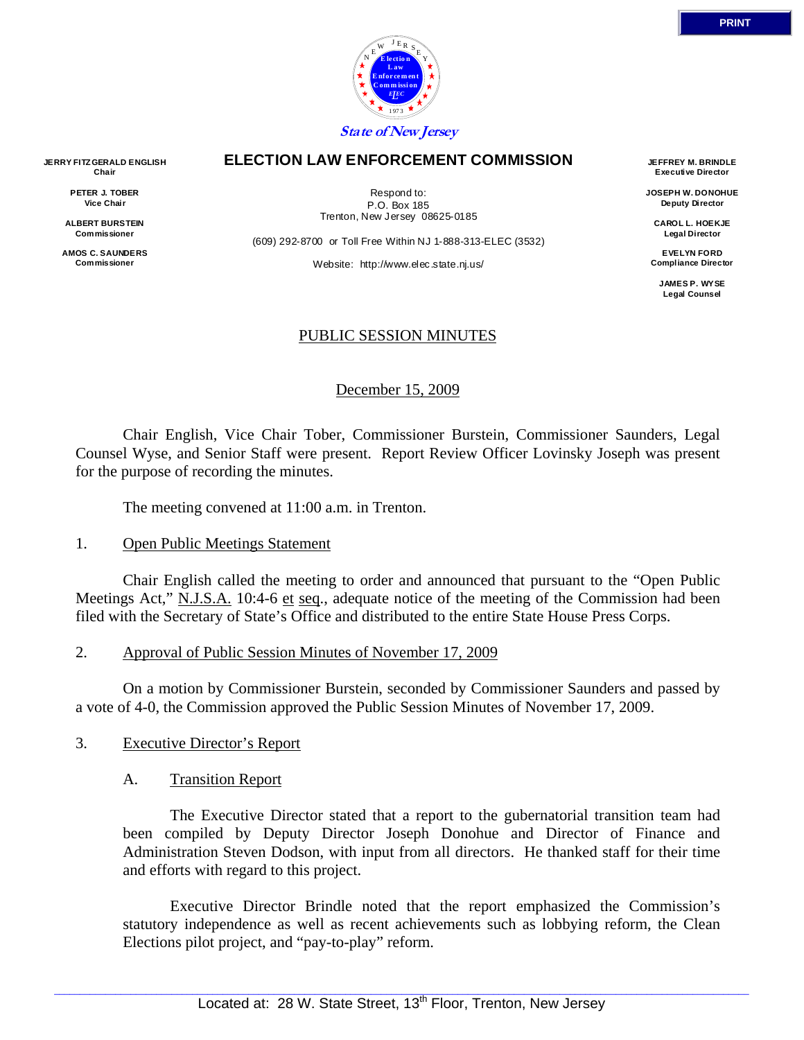

#### **ELECTION LAW ENFORCEMENT COMMISSION**

Respond to: P.O. Box 185 Trenton, New Jersey 08625-0185

(609) 292-8700 or Toll Free Within NJ 1-888-313-ELEC (3532)

Website: http://www.elec.state.nj.us/

## PUBLIC SESSION MINUTES

## December 15, 2009

 Chair English, Vice Chair Tober, Commissioner Burstein, Commissioner Saunders, Legal Counsel Wyse, and Senior Staff were present. Report Review Officer Lovinsky Joseph was present for the purpose of recording the minutes.

The meeting convened at 11:00 a.m. in Trenton.

#### 1. Open Public Meetings Statement

 Chair English called the meeting to order and announced that pursuant to the "Open Public Meetings Act," N.J.S.A. 10:4-6 et seq., adequate notice of the meeting of the Commission had been filed with the Secretary of State's Office and distributed to the entire State House Press Corps.

## 2. Approval of Public Session Minutes of November 17, 2009

 On a motion by Commissioner Burstein, seconded by Commissioner Saunders and passed by a vote of 4-0, the Commission approved the Public Session Minutes of November 17, 2009.

## 3. Executive Director's Report

#### A. Transition Report

 The Executive Director stated that a report to the gubernatorial transition team had been compiled by Deputy Director Joseph Donohue and Director of Finance and Administration Steven Dodson, with input from all directors. He thanked staff for their time and efforts with regard to this project.

 Executive Director Brindle noted that the report emphasized the Commission's statutory independence as well as recent achievements such as lobbying reform, the Clean Elections pilot project, and "pay-to-play" reform.

**JERRY FITZ GERALD ENGLISH Chair** 

> **PETER J. TOBER Vice Chair**

**ALBERT BURSTEIN Commissioner** 

**AMOS C. SAUNDERS Commissioner** 

**JEFFREY M. BRINDLE Executive Director JOSEPH W. DONOHUE Deputy Director CAROL L. HOEKJE Legal Director EVELYN FORD Compliance Director JAMES P. WYSE Legal Counsel**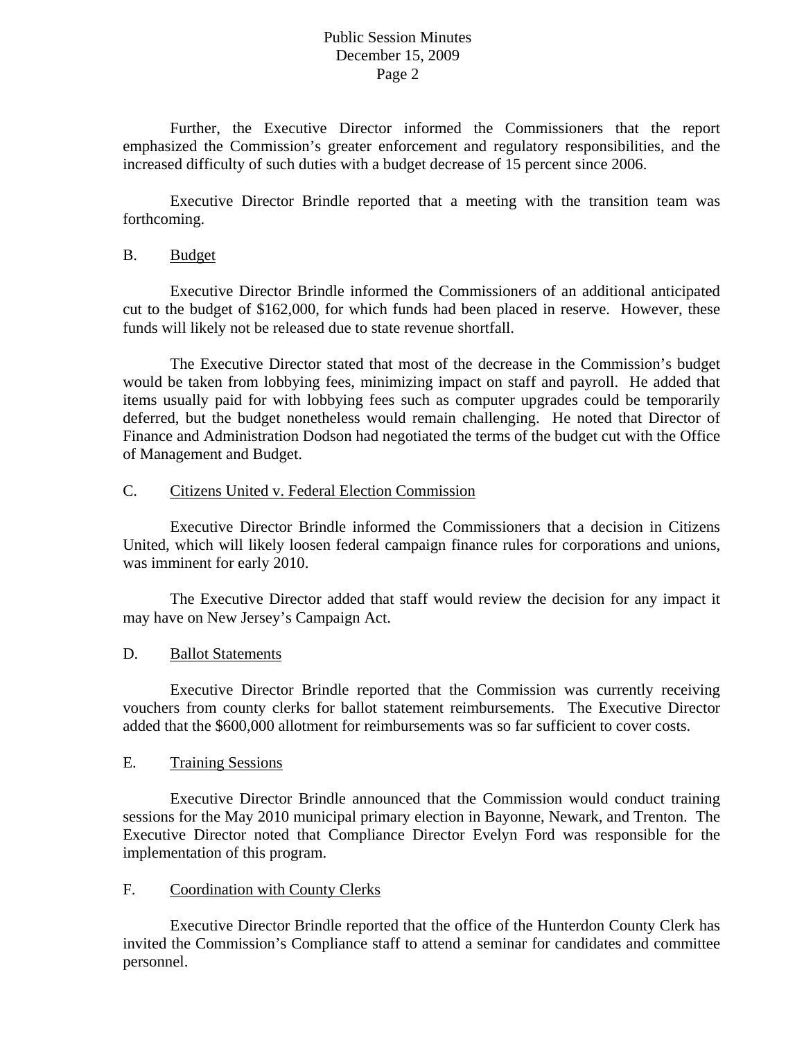Further, the Executive Director informed the Commissioners that the report emphasized the Commission's greater enforcement and regulatory responsibilities, and the increased difficulty of such duties with a budget decrease of 15 percent since 2006.

 Executive Director Brindle reported that a meeting with the transition team was forthcoming.

#### B. Budget

 Executive Director Brindle informed the Commissioners of an additional anticipated cut to the budget of \$162,000, for which funds had been placed in reserve. However, these funds will likely not be released due to state revenue shortfall.

 The Executive Director stated that most of the decrease in the Commission's budget would be taken from lobbying fees, minimizing impact on staff and payroll. He added that items usually paid for with lobbying fees such as computer upgrades could be temporarily deferred, but the budget nonetheless would remain challenging. He noted that Director of Finance and Administration Dodson had negotiated the terms of the budget cut with the Office of Management and Budget.

## C. Citizens United v. Federal Election Commission

 Executive Director Brindle informed the Commissioners that a decision in Citizens United, which will likely loosen federal campaign finance rules for corporations and unions, was imminent for early 2010.

 The Executive Director added that staff would review the decision for any impact it may have on New Jersey's Campaign Act.

## D. Ballot Statements

 Executive Director Brindle reported that the Commission was currently receiving vouchers from county clerks for ballot statement reimbursements. The Executive Director added that the \$600,000 allotment for reimbursements was so far sufficient to cover costs.

# E. Training Sessions

 Executive Director Brindle announced that the Commission would conduct training sessions for the May 2010 municipal primary election in Bayonne, Newark, and Trenton. The Executive Director noted that Compliance Director Evelyn Ford was responsible for the implementation of this program.

## F. Coordination with County Clerks

 Executive Director Brindle reported that the office of the Hunterdon County Clerk has invited the Commission's Compliance staff to attend a seminar for candidates and committee personnel.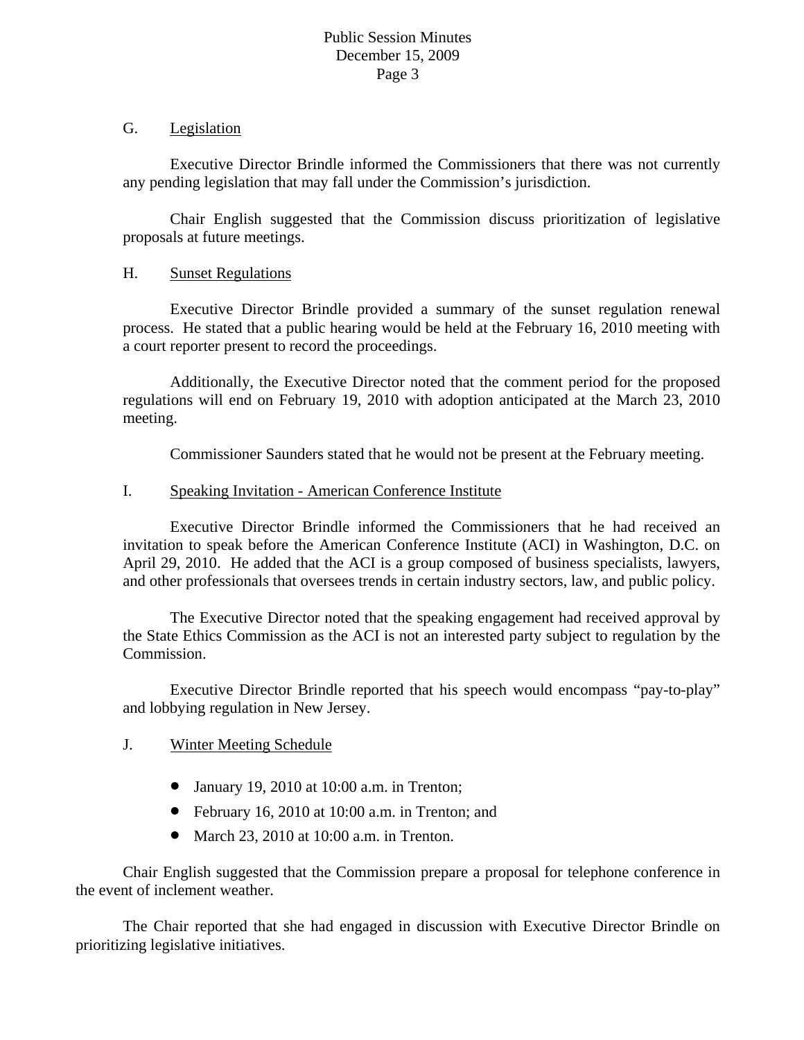# G. Legislation

 Executive Director Brindle informed the Commissioners that there was not currently any pending legislation that may fall under the Commission's jurisdiction.

 Chair English suggested that the Commission discuss prioritization of legislative proposals at future meetings.

# H. Sunset Regulations

 Executive Director Brindle provided a summary of the sunset regulation renewal process. He stated that a public hearing would be held at the February 16, 2010 meeting with a court reporter present to record the proceedings.

 Additionally, the Executive Director noted that the comment period for the proposed regulations will end on February 19, 2010 with adoption anticipated at the March 23, 2010 meeting.

Commissioner Saunders stated that he would not be present at the February meeting.

## I. Speaking Invitation - American Conference Institute

 Executive Director Brindle informed the Commissioners that he had received an invitation to speak before the American Conference Institute (ACI) in Washington, D.C. on April 29, 2010. He added that the ACI is a group composed of business specialists, lawyers, and other professionals that oversees trends in certain industry sectors, law, and public policy.

 The Executive Director noted that the speaking engagement had received approval by the State Ethics Commission as the ACI is not an interested party subject to regulation by the Commission.

 Executive Director Brindle reported that his speech would encompass "pay-to-play" and lobbying regulation in New Jersey.

# J. Winter Meeting Schedule

- January 19, 2010 at 10:00 a.m. in Trenton;
- February 16, 2010 at 10:00 a.m. in Trenton; and
- March 23, 2010 at 10:00 a.m. in Trenton.

 Chair English suggested that the Commission prepare a proposal for telephone conference in the event of inclement weather.

 The Chair reported that she had engaged in discussion with Executive Director Brindle on prioritizing legislative initiatives.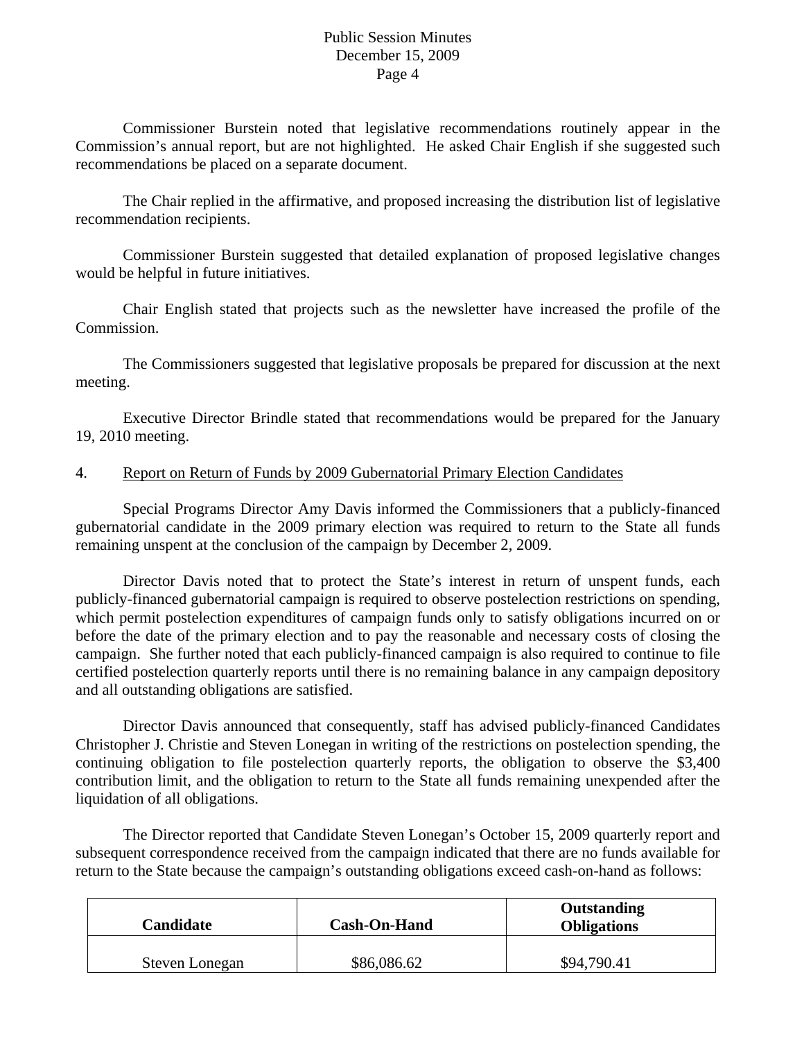Commissioner Burstein noted that legislative recommendations routinely appear in the Commission's annual report, but are not highlighted. He asked Chair English if she suggested such recommendations be placed on a separate document.

 The Chair replied in the affirmative, and proposed increasing the distribution list of legislative recommendation recipients.

 Commissioner Burstein suggested that detailed explanation of proposed legislative changes would be helpful in future initiatives.

 Chair English stated that projects such as the newsletter have increased the profile of the Commission.

 The Commissioners suggested that legislative proposals be prepared for discussion at the next meeting.

 Executive Director Brindle stated that recommendations would be prepared for the January 19, 2010 meeting.

# 4. Report on Return of Funds by 2009 Gubernatorial Primary Election Candidates

 Special Programs Director Amy Davis informed the Commissioners that a publicly-financed gubernatorial candidate in the 2009 primary election was required to return to the State all funds remaining unspent at the conclusion of the campaign by December 2, 2009.

 Director Davis noted that to protect the State's interest in return of unspent funds, each publicly-financed gubernatorial campaign is required to observe postelection restrictions on spending, which permit postelection expenditures of campaign funds only to satisfy obligations incurred on or before the date of the primary election and to pay the reasonable and necessary costs of closing the campaign. She further noted that each publicly-financed campaign is also required to continue to file certified postelection quarterly reports until there is no remaining balance in any campaign depository and all outstanding obligations are satisfied.

 Director Davis announced that consequently, staff has advised publicly-financed Candidates Christopher J. Christie and Steven Lonegan in writing of the restrictions on postelection spending, the continuing obligation to file postelection quarterly reports, the obligation to observe the \$3,400 contribution limit, and the obligation to return to the State all funds remaining unexpended after the liquidation of all obligations.

The Director reported that Candidate Steven Lonegan's October 15, 2009 quarterly report and subsequent correspondence received from the campaign indicated that there are no funds available for return to the State because the campaign's outstanding obligations exceed cash-on-hand as follows:

| Candidate      | <b>Cash-On-Hand</b> | Outstanding<br><b>Obligations</b> |
|----------------|---------------------|-----------------------------------|
| Steven Lonegan | \$86,086.62         | \$94,790.41                       |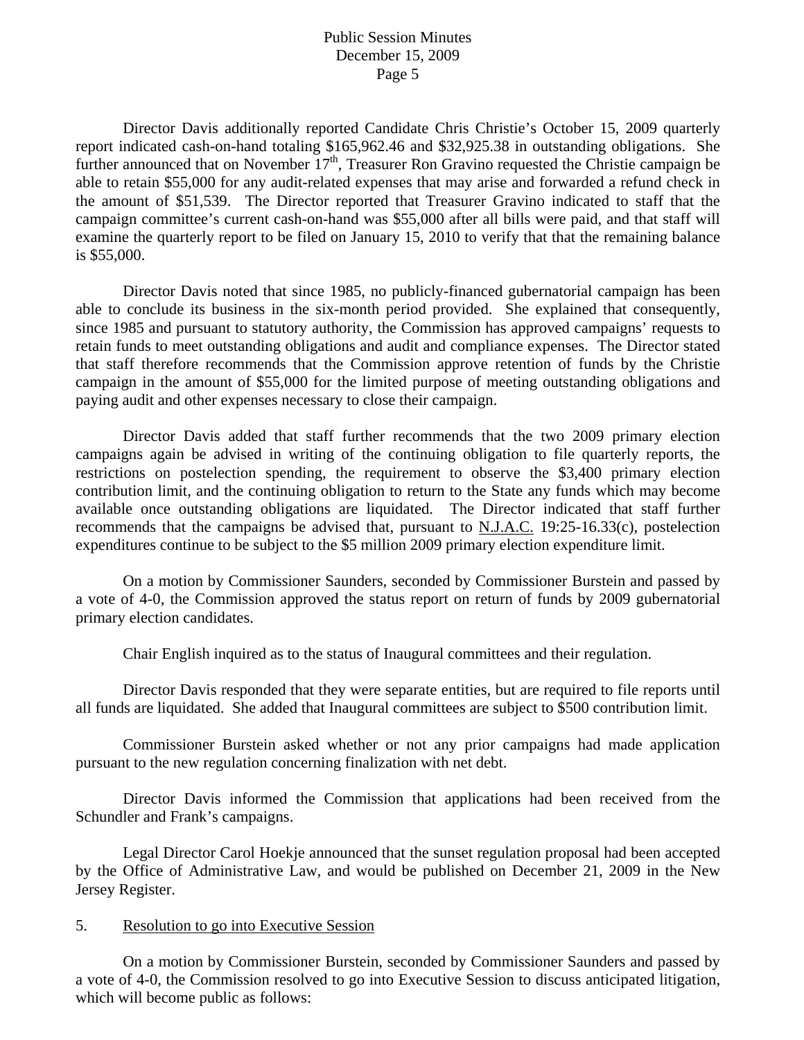Director Davis additionally reported Candidate Chris Christie's October 15, 2009 quarterly report indicated cash-on-hand totaling \$165,962.46 and \$32,925.38 in outstanding obligations. She further announced that on November 17<sup>th</sup>, Treasurer Ron Gravino requested the Christie campaign be able to retain \$55,000 for any audit-related expenses that may arise and forwarded a refund check in the amount of \$51,539. The Director reported that Treasurer Gravino indicated to staff that the campaign committee's current cash-on-hand was \$55,000 after all bills were paid, and that staff will examine the quarterly report to be filed on January 15, 2010 to verify that that the remaining balance is \$55,000.

 Director Davis noted that since 1985, no publicly-financed gubernatorial campaign has been able to conclude its business in the six-month period provided. She explained that consequently, since 1985 and pursuant to statutory authority, the Commission has approved campaigns' requests to retain funds to meet outstanding obligations and audit and compliance expenses. The Director stated that staff therefore recommends that the Commission approve retention of funds by the Christie campaign in the amount of \$55,000 for the limited purpose of meeting outstanding obligations and paying audit and other expenses necessary to close their campaign.

Director Davis added that staff further recommends that the two 2009 primary election campaigns again be advised in writing of the continuing obligation to file quarterly reports, the restrictions on postelection spending, the requirement to observe the \$3,400 primary election contribution limit, and the continuing obligation to return to the State any funds which may become available once outstanding obligations are liquidated. The Director indicated that staff further recommends that the campaigns be advised that, pursuant to N.J.A.C. 19:25-16.33(c), postelection expenditures continue to be subject to the \$5 million 2009 primary election expenditure limit.

 On a motion by Commissioner Saunders, seconded by Commissioner Burstein and passed by a vote of 4-0, the Commission approved the status report on return of funds by 2009 gubernatorial primary election candidates.

Chair English inquired as to the status of Inaugural committees and their regulation.

Director Davis responded that they were separate entities, but are required to file reports until all funds are liquidated. She added that Inaugural committees are subject to \$500 contribution limit.

Commissioner Burstein asked whether or not any prior campaigns had made application pursuant to the new regulation concerning finalization with net debt.

Director Davis informed the Commission that applications had been received from the Schundler and Frank's campaigns.

Legal Director Carol Hoekje announced that the sunset regulation proposal had been accepted by the Office of Administrative Law, and would be published on December 21, 2009 in the New Jersey Register.

#### 5. Resolution to go into Executive Session

 On a motion by Commissioner Burstein, seconded by Commissioner Saunders and passed by a vote of 4-0, the Commission resolved to go into Executive Session to discuss anticipated litigation, which will become public as follows: